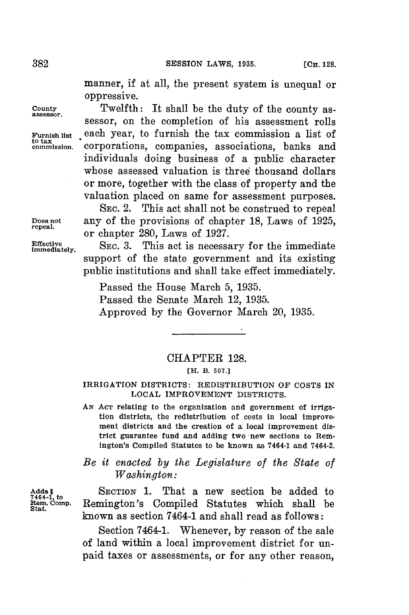manner, if at all, the present system is unequal or oppressive.

**County** Twelfth: It shall be the duty of the county as- **assessor.** sessor, on the completion of his assessment rolls Furnish list each year, to furnish the tax commission a list of to tax **commission.** Corporations, companies, associations, banks and individuals doing business of a public character whose assessed valuation is three thousand dollars or more, together with the class of property and the valuation placed on same for assessment purposes.

**SEC.** 2. This act shall not be construed to repeal **Does not** any of the provisions of chapter **18,** Laws of **1925, repeal.** or chapter **280,** Laws of **1927.**

Effective SEC. 3. This act is necessary for the immediate support of the state government and its existing public institutions and shall take effect immediately.

> Passed the House March **5, 1935.** Passed the Senate March 12, **1935.** Approved **by** the Governor March 20, **1935.**

## CHAPTER **128.**

## **[H. B. 507.]**

## IRRIGATION DISTRICTS: REDISTRIBUTION OF **COSTS IN LOCAL IMPROVEMENT DISTRICTS.**

**AN** AcT relating to the organization and government of irrigation districts, the redistribution of costs in local improvement districts and the creation of a local improvement district guarantee fund and adding two new sections to Remington's Compiled Statutes to be known as 7464-1 and 7464-2.

*Be it enacted by the Legislature of the State of Washington:*

Adds & SECTION 1. That a new section be added to <br><sup>7464-1</sup>, to Remington's Compiled Statutes which shall be Rem. Comp. Remington's Compiled Statutes which shall be State. known as section 7464-1 and shall read as follows:

> Section 7464-1. Whenever, **by** reason of the sale of land within a local improvement district for unpaid taxes or assessments, or for any other reason,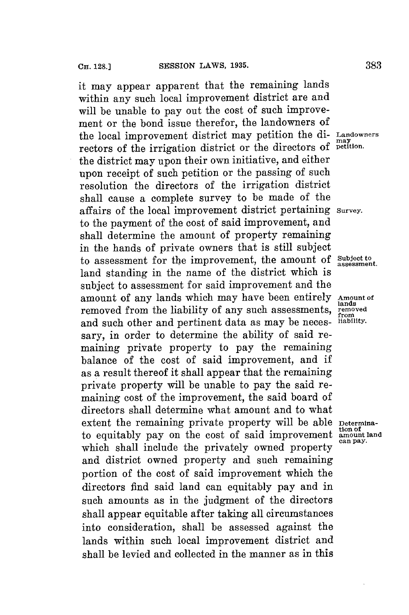it may appear apparent that the remaining lands within any such local improvement district are and will be unable to pay out the cost of such improvement or the bond issue therefor, the landowners of the local improvement district may petition the **di- Landowners** rectors of the irrigation district or the directors of **petition**. the district may upon their own initiative, and either upon receipt of such petition or the passing of such resolution the directors of the irrigation district shall cause a complete survey to be made of the affairs of the local improvement district pertaining **Survey.** to the payment of the cost of said improvement, and shall determine the amount of property remaining in the hands of private owners that is still subject to assessment for the improvement, the amount of **Subject to assessment.** land standing in the name of the district which is subject to assessment **for** said improvement and the amount of any lands which may have been entirely **Amount of** removed from the liability of any such assessments, **removed** and such other and pertinent data as may be necessary, in order to determine the ability of said remaining private property to pay the remaining balance of the cost of said improvement, and if as a result thereof it shall appear that the remaining private property will be unable to pay the said remaining cost of the improvement, the said board of directors shall determine what amount and to what extent the remaining private property will be able **Determina**to equitably pay on the cost of said improvement amount land which shall include the privately owned property and district owned property and such remaining portion of the cost of said improvement which the directors find said land can equitably pay and in such amounts as in the judgment of the directors shall appear equitable after taking all circumstances into consideration, shall be assessed against the lands within such local improvement district and shall be levied and collected in the manner as in this

**lands** from<br>liability.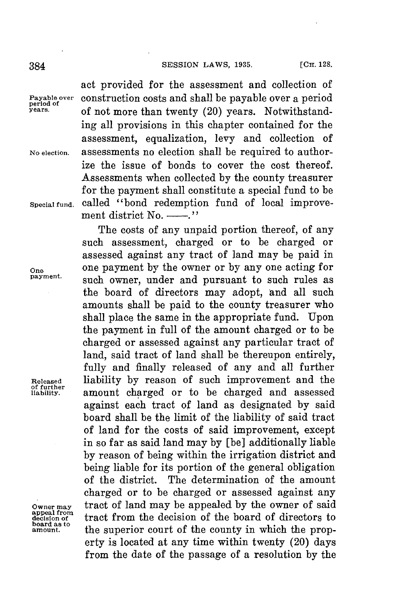**[CH. 128.** 384 **SESSION** LAWS, **1935.**

**of further**

**appeal from board as to**

act provided for the assessment and collection of **Payable over construction costs and shall be payable over a period**<br>period of not more than twenty (20) years. Notwithstanding all provisions in this chapter contained **for** the assessment, equalization, levy and collection of **No election.** assessments no election shall be required to authorize the issue of bonds to cover the cost thereof. Assessments when collected **by** the county treasurer for the payment shall constitute a special fund to be **Special fund.** called "bond redemption fund of local improvement district  $No. \_\_\_$ 

The costs of any unpaid portion thereof, of any such assessment, charged or to be charged or assessed against any tract of land may be paid in **One** one payment **by** the owner or **by** any one acting for such owner, under and pursuant to such rules as the board of directors may adopt, and all such amounts shall be paid to the county treasurer who shall place the same in the appropriate fund. Upon the payment in full of the amount charged or to be charged or assessed against any particular tract of land, said tract of land shall be thereupon entirely, fully and finally released of any and all further **Released** liability **by** reason of such improvement and the **liability.** amount charged or to be charged and assessed against each tract of land as designated **by** said board shall be the limit of the liability of said tract of land for the costs of said improvement, except in so far as said land may **by** [be] additionally liable **by** reason of being within the irrigation district and being liable for its portion of the general obligation of the district. The determination of the amount charged or to be charged or assessed against any **owner may** tract of land may be appealed **by** the owner of said **decision of** tract from the decision of the board of directors to the superior court of the county in which the property is located at any time within twenty (20) days from the date of the passage of a resolution **by** the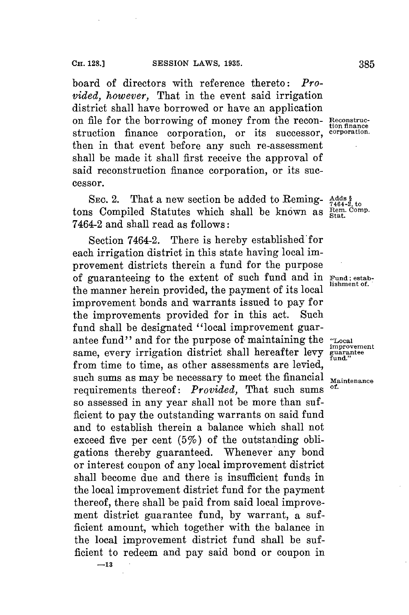board of directors with reference thereto: *Provided, however,* That in the event said irrigation district shall have borrowed or have an application on file for the borrowing of money from the recon- **neconstruc**struction finance corporation, or its successor, **corporation.** then in that event before any such re-assessment shall be made it shall first receive the approval of said reconstruction finance corporation, or its successor.

SEC. 2. That a new section be added to Reming-  $\frac{\text{Adas }\$}{7464-2,\text{ to}}$ tons Compiled Statutes which shall be known as **Rem. Comp.** 7464-2 and shall read as follows:

Section 7464-2. There is hereby established for each irrigation district in this state having local improvement districts therein a fund for the purpose of guaranteeing to the extent of such fund and in **Fund;** estabthe manner herein provided, the payment of its local improvement bonds and warrants issued to pay for the improvements provided for in this act. Such fund shall be designated "local improvement guarantee fund" and **for** the purpose of maintaining the **"Local** same, every irrigation district shall hereafter levy guarantee from time to time, as other assessments are levied, such sums as may be necessary to meet the financial Maintenance requirements thereof: *Provided*, That such sums so assessed in any year shall not be more than sufficient to pay the outstanding warrants on said fund and to establish therein a balance which shall not exceed five per cent  $(5\%)$  of the outstanding obligations thereby guaranteed. Whenever any bond or interest coupon of any local improvement district shall become due and there is insufficient funds in the local improvement district fund for the payment thereof, there shall be paid from said local improvement district guarantee fund, **by** warrant, a sufficient amount, which together with the balance in the local improvement district fund shall be sufficient to redeem and pay said bond or coupon in

tion finance

**improvement**